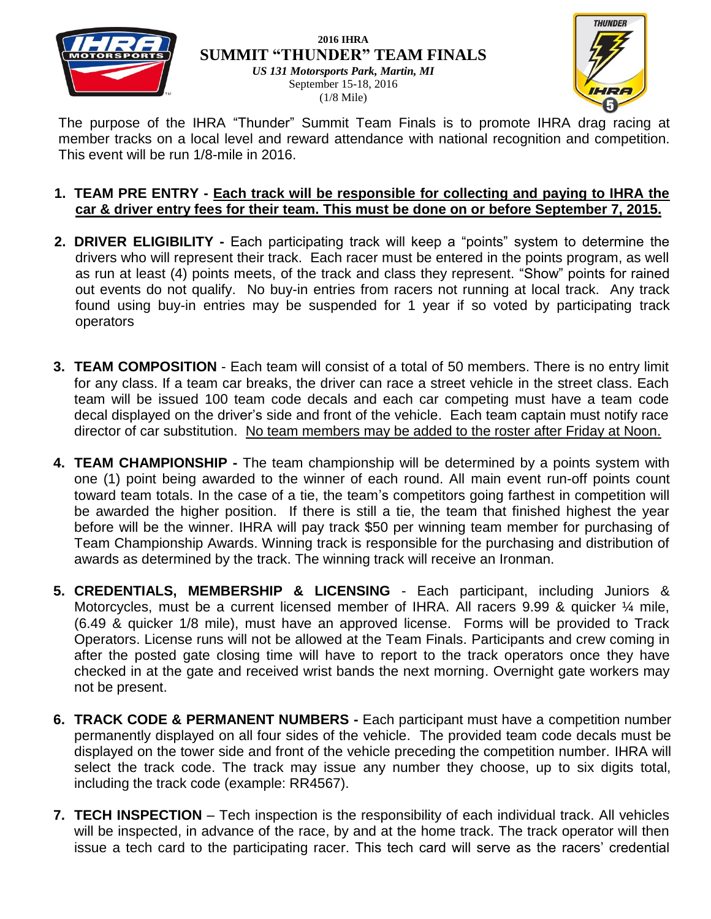

#### **2016 IHRA SUMMIT "THUNDER" TEAM FINALS**





The purpose of the IHRA "Thunder" Summit Team Finals is to promote IHRA drag racing at member tracks on a local level and reward attendance with national recognition and competition. This event will be run 1/8-mile in 2016.

### **1. TEAM PRE ENTRY - Each track will be responsible for collecting and paying to IHRA the car & driver entry fees for their team. This must be done on or before September 7, 2015.**

- **2. DRIVER ELIGIBILITY -** Each participating track will keep a "points" system to determine the drivers who will represent their track. Each racer must be entered in the points program, as well as run at least (4) points meets, of the track and class they represent. "Show" points for rained out events do not qualify. No buy-in entries from racers not running at local track. Any track found using buy-in entries may be suspended for 1 year if so voted by participating track operators
- **3. TEAM COMPOSITION** Each team will consist of a total of 50 members. There is no entry limit for any class. If a team car breaks, the driver can race a street vehicle in the street class. Each team will be issued 100 team code decals and each car competing must have a team code decal displayed on the driver's side and front of the vehicle. Each team captain must notify race director of car substitution. No team members may be added to the roster after Friday at Noon.
- **4. TEAM CHAMPIONSHIP -** The team championship will be determined by a points system with one (1) point being awarded to the winner of each round. All main event run-off points count toward team totals. In the case of a tie, the team's competitors going farthest in competition will be awarded the higher position. If there is still a tie, the team that finished highest the year before will be the winner. IHRA will pay track \$50 per winning team member for purchasing of Team Championship Awards. Winning track is responsible for the purchasing and distribution of awards as determined by the track. The winning track will receive an Ironman.
- **5. CREDENTIALS, MEMBERSHIP & LICENSING** Each participant, including Juniors & Motorcycles, must be a current licensed member of IHRA. All racers 9.99 & quicker 1/4 mile, (6.49 & quicker 1/8 mile), must have an approved license. Forms will be provided to Track Operators. License runs will not be allowed at the Team Finals. Participants and crew coming in after the posted gate closing time will have to report to the track operators once they have checked in at the gate and received wrist bands the next morning. Overnight gate workers may not be present.
- **6. TRACK CODE & PERMANENT NUMBERS -** Each participant must have a competition number permanently displayed on all four sides of the vehicle. The provided team code decals must be displayed on the tower side and front of the vehicle preceding the competition number. IHRA will select the track code. The track may issue any number they choose, up to six digits total, including the track code (example: RR4567).
- **7. TECH INSPECTION** Tech inspection is the responsibility of each individual track. All vehicles will be inspected, in advance of the race, by and at the home track. The track operator will then issue a tech card to the participating racer. This tech card will serve as the racers' credential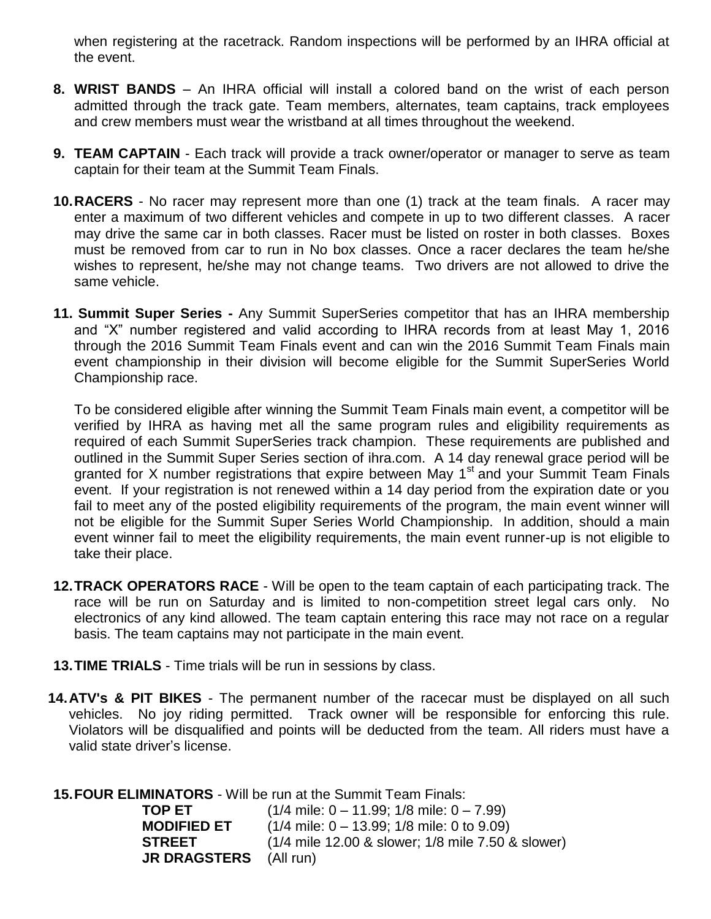when registering at the racetrack. Random inspections will be performed by an IHRA official at the event.

- **8. WRIST BANDS** An IHRA official will install a colored band on the wrist of each person admitted through the track gate. Team members, alternates, team captains, track employees and crew members must wear the wristband at all times throughout the weekend.
- **9. TEAM CAPTAIN** Each track will provide a track owner/operator or manager to serve as team captain for their team at the Summit Team Finals.
- **10.RACERS** No racer may represent more than one (1) track at the team finals. A racer may enter a maximum of two different vehicles and compete in up to two different classes. A racer may drive the same car in both classes. Racer must be listed on roster in both classes. Boxes must be removed from car to run in No box classes. Once a racer declares the team he/she wishes to represent, he/she may not change teams. Two drivers are not allowed to drive the same vehicle.
- **11. Summit Super Series -** Any Summit SuperSeries competitor that has an IHRA membership and "X" number registered and valid according to IHRA records from at least May 1, 2016 through the 2016 Summit Team Finals event and can win the 2016 Summit Team Finals main event championship in their division will become eligible for the Summit SuperSeries World Championship race.

To be considered eligible after winning the Summit Team Finals main event, a competitor will be verified by IHRA as having met all the same program rules and eligibility requirements as required of each Summit SuperSeries track champion. These requirements are published and outlined in the Summit Super Series section of ihra.com. A 14 day renewal grace period will be granted for X number registrations that expire between May  $1<sup>st</sup>$  and your Summit Team Finals event. If your registration is not renewed within a 14 day period from the expiration date or you fail to meet any of the posted eligibility requirements of the program, the main event winner will not be eligible for the Summit Super Series World Championship. In addition, should a main event winner fail to meet the eligibility requirements, the main event runner-up is not eligible to take their place.

- **12.TRACK OPERATORS RACE** Will be open to the team captain of each participating track. The race will be run on Saturday and is limited to non-competition street legal cars only. No electronics of any kind allowed. The team captain entering this race may not race on a regular basis. The team captains may not participate in the main event.
- **13.TIME TRIALS** Time trials will be run in sessions by class.
- **14.ATV's & PIT BIKES** The permanent number of the racecar must be displayed on all such vehicles. No joy riding permitted. Track owner will be responsible for enforcing this rule. Violators will be disqualified and points will be deducted from the team. All riders must have a valid state driver's license.

**15.FOUR ELIMINATORS** - Will be run at the Summit Team Finals:

| TOP ET              | $(1/4$ mile: 0 – 11.99; 1/8 mile: 0 – 7.99)       |
|---------------------|---------------------------------------------------|
| <b>MODIFIED ET</b>  | $(1/4$ mile: 0 – 13.99; 1/8 mile: 0 to 9.09)      |
| <b>STREET</b>       | (1/4 mile 12.00 & slower; 1/8 mile 7.50 & slower) |
| <b>JR DRAGSTERS</b> | (All run)                                         |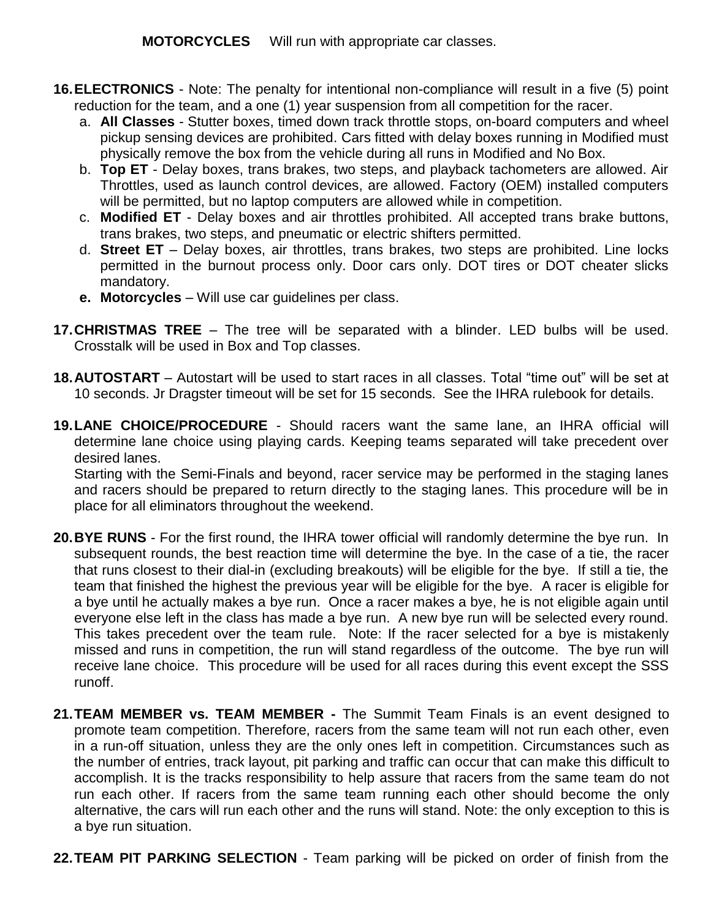**MOTORCYCLES** Will run with appropriate car classes.

- **16.ELECTRONICS** Note: The penalty for intentional non-compliance will result in a five (5) point reduction for the team, and a one (1) year suspension from all competition for the racer.
	- a. **All Classes** Stutter boxes, timed down track throttle stops, on-board computers and wheel pickup sensing devices are prohibited. Cars fitted with delay boxes running in Modified must physically remove the box from the vehicle during all runs in Modified and No Box.
	- b. **Top ET** Delay boxes, trans brakes, two steps, and playback tachometers are allowed. Air Throttles, used as launch control devices, are allowed. Factory (OEM) installed computers will be permitted, but no laptop computers are allowed while in competition.
	- c. **Modified ET** Delay boxes and air throttles prohibited. All accepted trans brake buttons, trans brakes, two steps, and pneumatic or electric shifters permitted.
	- d. **Street ET**  Delay boxes, air throttles, trans brakes, two steps are prohibited. Line locks permitted in the burnout process only. Door cars only. DOT tires or DOT cheater slicks mandatory.
	- **e. Motorcycles** Will use car guidelines per class.
- **17.CHRISTMAS TREE** The tree will be separated with a blinder. LED bulbs will be used. Crosstalk will be used in Box and Top classes.
- **18.AUTOSTART** Autostart will be used to start races in all classes. Total "time out" will be set at 10 seconds. Jr Dragster timeout will be set for 15 seconds. See the IHRA rulebook for details.
- **19.LANE CHOICE/PROCEDURE** Should racers want the same lane, an IHRA official will determine lane choice using playing cards. Keeping teams separated will take precedent over desired lanes.

Starting with the Semi-Finals and beyond, racer service may be performed in the staging lanes and racers should be prepared to return directly to the staging lanes. This procedure will be in place for all eliminators throughout the weekend.

- **20.BYE RUNS** For the first round, the IHRA tower official will randomly determine the bye run. In subsequent rounds, the best reaction time will determine the bye. In the case of a tie, the racer that runs closest to their dial-in (excluding breakouts) will be eligible for the bye. If still a tie, the team that finished the highest the previous year will be eligible for the bye. A racer is eligible for a bye until he actually makes a bye run. Once a racer makes a bye, he is not eligible again until everyone else left in the class has made a bye run. A new bye run will be selected every round. This takes precedent over the team rule. Note: If the racer selected for a bye is mistakenly missed and runs in competition, the run will stand regardless of the outcome. The bye run will receive lane choice. This procedure will be used for all races during this event except the SSS runoff.
- **21.TEAM MEMBER vs. TEAM MEMBER -** The Summit Team Finals is an event designed to promote team competition. Therefore, racers from the same team will not run each other, even in a run-off situation, unless they are the only ones left in competition. Circumstances such as the number of entries, track layout, pit parking and traffic can occur that can make this difficult to accomplish. It is the tracks responsibility to help assure that racers from the same team do not run each other. If racers from the same team running each other should become the only alternative, the cars will run each other and the runs will stand. Note: the only exception to this is a bye run situation.
- **22.TEAM PIT PARKING SELECTION**  Team parking will be picked on order of finish from the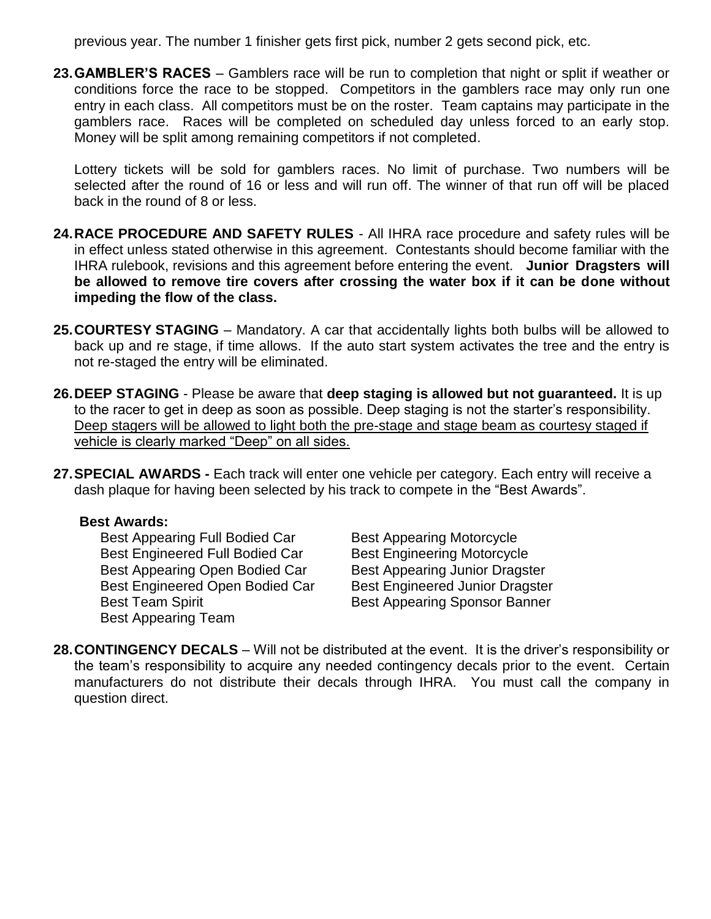previous year. The number 1 finisher gets first pick, number 2 gets second pick, etc.

**23.GAMBLER'S RACES** – Gamblers race will be run to completion that night or split if weather or conditions force the race to be stopped. Competitors in the gamblers race may only run one entry in each class. All competitors must be on the roster. Team captains may participate in the gamblers race. Races will be completed on scheduled day unless forced to an early stop. Money will be split among remaining competitors if not completed.

Lottery tickets will be sold for gamblers races. No limit of purchase. Two numbers will be selected after the round of 16 or less and will run off. The winner of that run off will be placed back in the round of 8 or less.

- **24.RACE PROCEDURE AND SAFETY RULES** All IHRA race procedure and safety rules will be in effect unless stated otherwise in this agreement. Contestants should become familiar with the IHRA rulebook, revisions and this agreement before entering the event. **Junior Dragsters will be allowed to remove tire covers after crossing the water box if it can be done without impeding the flow of the class.**
- **25.COURTESY STAGING** Mandatory. A car that accidentally lights both bulbs will be allowed to back up and re stage, if time allows. If the auto start system activates the tree and the entry is not re-staged the entry will be eliminated.
- **26.DEEP STAGING** Please be aware that **deep staging is allowed but not guaranteed.** It is up to the racer to get in deep as soon as possible. Deep staging is not the starter's responsibility. Deep stagers will be allowed to light both the pre-stage and stage beam as courtesy staged if vehicle is clearly marked "Deep" on all sides.
- **27.SPECIAL AWARDS -** Each track will enter one vehicle per category. Each entry will receive a dash plaque for having been selected by his track to compete in the "Best Awards".

#### **Best Awards:**

Best Appearing Full Bodied Car Best Appearing Motorcycle Best Engineered Full Bodied Car Best Engineering Motorcycle Best Appearing Open Bodied Car Best Appearing Junior Dragster Best Engineered Open Bodied Car Best Engineered Junior Dragster Best Team Spirit **Best Appearing Sponsor Banner** Best Appearing Team

**28.CONTINGENCY DECALS** – Will not be distributed at the event. It is the driver's responsibility or the team's responsibility to acquire any needed contingency decals prior to the event. Certain manufacturers do not distribute their decals through IHRA. You must call the company in question direct.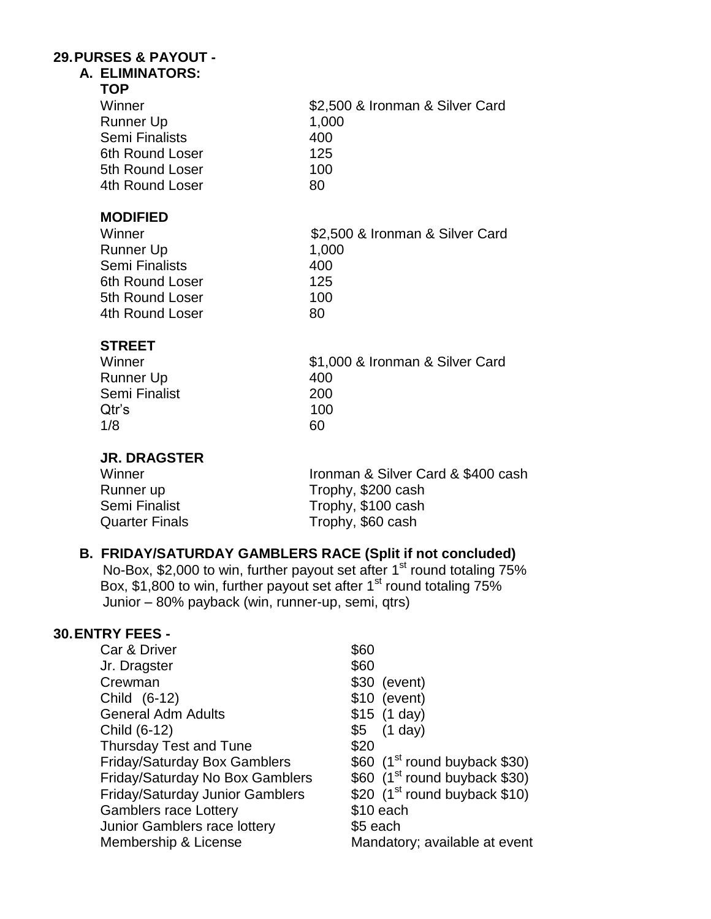#### **29.PURSES & PAYOUT - A. ELIMINATORS:**

| \$2,500 & Ironman & Silver Card |
|---------------------------------|
| 1,000                           |
| 400                             |
| 125                             |
| 100                             |
| 80                              |
|                                 |
| \$2,500 & Ironman & Silver Card |
| 1,000                           |
| 400                             |
| 125                             |
| 100                             |
| 80                              |
|                                 |
| \$1,000 & Ironman & Silver Card |
| 400                             |
| 200                             |
| 100                             |
| 60                              |
|                                 |
|                                 |

### Winner **Ironman & Silver Card & \$400 cash Runner up ITOPHY**, \$200 cash Runner up Trophy, \$200 cash Semi Finalist Trophy, \$100 cash Quarter Finals **Trophy**, \$60 cash

# **B. FRIDAY/SATURDAY GAMBLERS RACE (Split if not concluded)**

No-Box, \$2,000 to win, further payout set after 1<sup>st</sup> round totaling 75% Box, \$1,800 to win, further payout set after 1<sup>st</sup> round totaling 75% Junior – 80% payback (win, runner-up, semi, qtrs)

### **30.ENTRY FEES -**

| Car & Driver                           | \$60                                       |
|----------------------------------------|--------------------------------------------|
| Jr. Dragster                           | \$60                                       |
| Crewman                                | \$30 (event)                               |
| Child (6-12)                           | $$10$ (event)                              |
| <b>General Adm Adults</b>              | $$15$ (1 day)                              |
| Child (6-12)                           | $$5$ (1 day)                               |
| <b>Thursday Test and Tune</b>          | \$20                                       |
| <b>Friday/Saturday Box Gamblers</b>    | $$60$ (1 <sup>st</sup> round buyback \$30) |
| Friday/Saturday No Box Gamblers        | \$60 $(1st$ round buyback \$30)            |
| <b>Friday/Saturday Junior Gamblers</b> | \$20 $(1st$ round buyback \$10)            |
| <b>Gamblers race Lottery</b>           | \$10 each                                  |
| Junior Gamblers race lottery           | \$5 each                                   |
| Membership & License                   | Mandatory; available at event              |